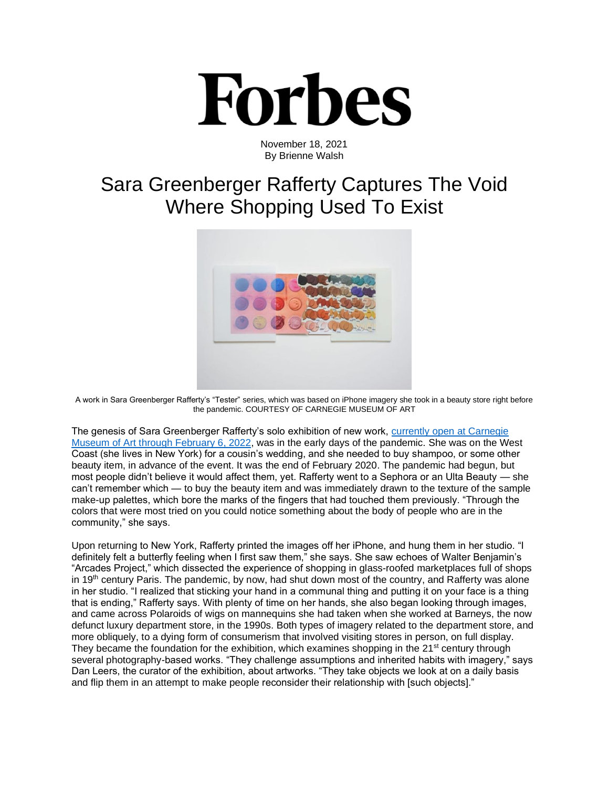

November 18, 2021 By Brienne Walsh

## Sara Greenberger Rafferty Captures The Void Where Shopping Used To Exist



A work in Sara Greenberger Rafferty's "Tester" series, which was based on iPhone imagery she took in a beauty store right before the pandemic. COURTESY OF CARNEGIE MUSEUM OF ART

The genesis of Sara Greenberger Rafferty's solo exhibition of new work, currently open at Carnegie [Museum of Art through February 6, 2022,](https://cmoa.org/exhibition/sara-greenberger-rafferty/) was in the early days of the pandemic. She was on the West Coast (she lives in New York) for a cousin's wedding, and she needed to buy shampoo, or some other beauty item, in advance of the event. It was the end of February 2020. The pandemic had begun, but most people didn't believe it would affect them, yet. Rafferty went to a Sephora or an Ulta Beauty — she can't remember which — to buy the beauty item and was immediately drawn to the texture of the sample make-up palettes, which bore the marks of the fingers that had touched them previously. "Through the colors that were most tried on you could notice something about the body of people who are in the community," she says.

Upon returning to New York, Rafferty printed the images off her iPhone, and hung them in her studio. "I definitely felt a butterfly feeling when I first saw them," she says. She saw echoes of Walter Benjamin's "Arcades Project," which dissected the experience of shopping in glass-roofed marketplaces full of shops in 19<sup>th</sup> century Paris. The pandemic, by now, had shut down most of the country, and Rafferty was alone in her studio. "I realized that sticking your hand in a communal thing and putting it on your face is a thing that is ending," Rafferty says. With plenty of time on her hands, she also began looking through images, and came across Polaroids of wigs on mannequins she had taken when she worked at Barneys, the now defunct luxury department store, in the 1990s. Both types of imagery related to the department store, and more obliquely, to a dying form of consumerism that involved visiting stores in person, on full display. They became the foundation for the exhibition, which examines shopping in the  $21<sup>st</sup>$  century through several photography-based works. "They challenge assumptions and inherited habits with imagery," says Dan Leers, the curator of the exhibition, about artworks. "They take objects we look at on a daily basis and flip them in an attempt to make people reconsider their relationship with [such objects]."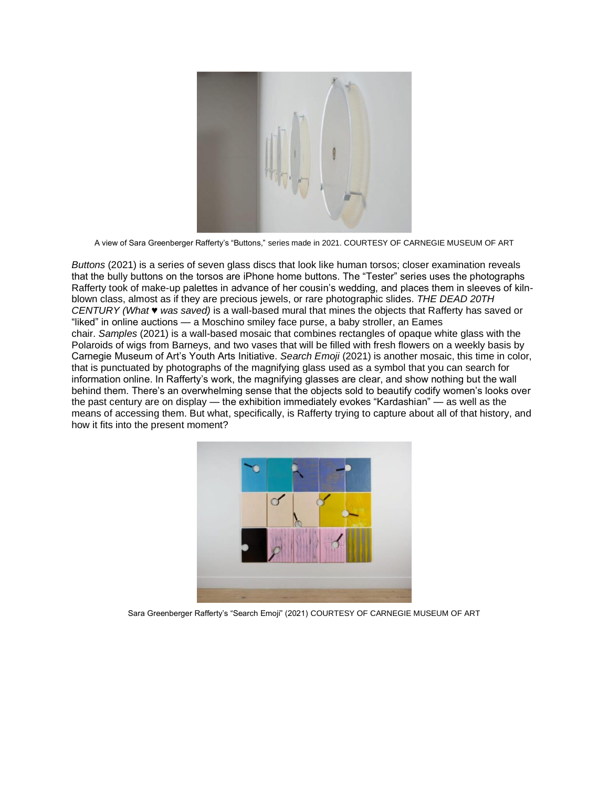

A view of Sara Greenberger Rafferty's "Buttons," series made in 2021. COURTESY OF CARNEGIE MUSEUM OF ART

*Buttons* (2021) is a series of seven glass discs that look like human torsos; closer examination reveals that the bully buttons on the torsos are iPhone home buttons. The "Tester" series uses the photographs Rafferty took of make-up palettes in advance of her cousin's wedding, and places them in sleeves of kilnblown class, almost as if they are precious jewels, or rare photographic slides. *THE DEAD 20TH CENTURY (What ♥ was saved)* is a wall-based mural that mines the objects that Rafferty has saved or "liked" in online auctions — a Moschino smiley face purse, a baby stroller, an Eames chair. *Samples* (2021) is a wall-based mosaic that combines rectangles of opaque white glass with the Polaroids of wigs from Barneys, and two vases that will be filled with fresh flowers on a weekly basis by Carnegie Museum of Art's Youth Arts Initiative. *Search Emoji* (2021) is another mosaic, this time in color, that is punctuated by photographs of the magnifying glass used as a symbol that you can search for information online. In Rafferty's work, the magnifying glasses are clear, and show nothing but the wall behind them. There's an overwhelming sense that the objects sold to beautify codify women's looks over the past century are on display — the exhibition immediately evokes "Kardashian" — as well as the means of accessing them. But what, specifically, is Rafferty trying to capture about all of that history, and how it fits into the present moment?



Sara Greenberger Rafferty's "Search Emoji" (2021) COURTESY OF CARNEGIE MUSEUM OF ART